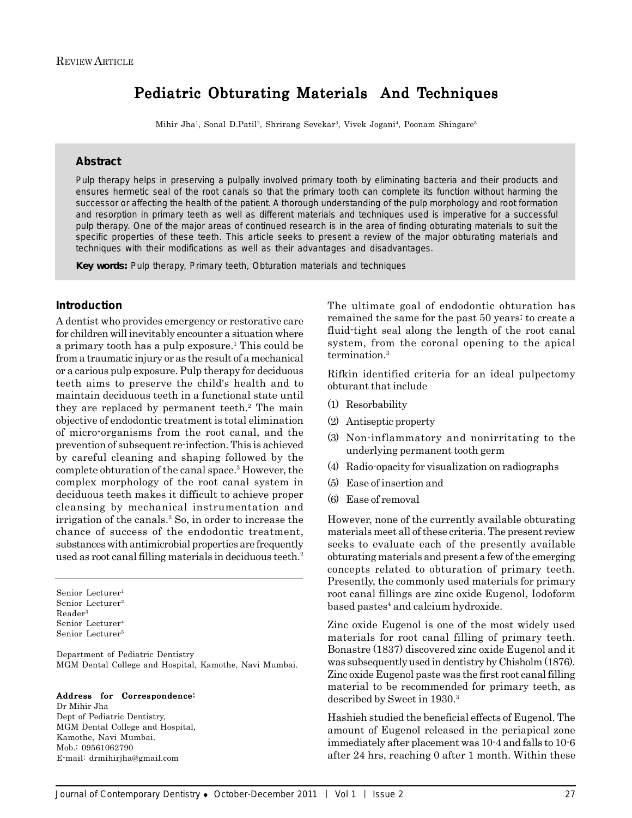# Pediatric Obturating Materials And Techniques

Mihir Jha<sup>1</sup>, Sonal D.Patil<sup>2</sup>, Shrirang Sevekar<sup>3</sup>, Vivek Jogani<sup>4</sup>, Poonam Shingare<sup>5</sup>

### **Abstract**

Pulp therapy helps in preserving a pulpally involved primary tooth by eliminating bacteria and their products and ensures hermetic seal of the root canals so that the primary tooth can complete its function without harming the successor or affecting the health of the patient. A thorough understanding of the pulp morphology and root formation and resorption in primary teeth as well as different materials and techniques used is imperative for a successful pulp therapy. One of the major areas of continued research is in the area of finding obturating materials to suit the specific properties of these teeth. This article seeks to present a review of the major obturating materials and techniques with their modifications as well as their advantages and disadvantages.

*Key words:* Pulp therapy, Primary teeth, Obturation materials and techniques

## **Introduction**

A dentist who provides emergency or restorative care for children will inevitably encounter a situation where a primary tooth has a pulp exposure.1 This could be from a traumatic injury or as the result of a mechanical or a carious pulp exposure. Pulp therapy for deciduous teeth aims to preserve the child's health and to maintain deciduous teeth in a functional state until they are replaced by permanent teeth.<sup>2</sup> The main objective of endodontic treatment is total elimination of micro-organisms from the root canal, and the prevention of subsequent re-infection. This is achieved by careful cleaning and shaping followed by the complete obturation of the canal space.3 However, the complex morphology of the root canal system in deciduous teeth makes it difficult to achieve proper cleansing by mechanical instrumentation and irrigation of the canals.2 So, in order to increase the chance of success of the endodontic treatment, substances with antimicrobial properties are frequently used as root canal filling materials in deciduous teeth.<sup>2</sup>

Senior Lecturer<sup>1</sup> Senior Lecturer<sup>2</sup> Reader3 Senior Lecturer<sup>4</sup> Senior Lecturer5

Department of Pediatric Dentistry MGM Dental College and Hospital, Kamothe, Navi Mumbai.

#### Address for Correspondence:

Dr Mihir Jha Dept of Pediatric Dentistry, MGM Dental College and Hospital, Kamothe, Navi Mumbai. Mob.: 09561062790 E-mail: drmihirjha@gmail.com

The ultimate goal of endodontic obturation has remained the same for the past 50 years: to create a fluid-tight seal along the length of the root canal system, from the coronal opening to the apical termination.3

Rifkin identified criteria for an ideal pulpectomy obturant that include

- (1) Resorbability
- (2) Antiseptic property
- (3) Non-inflammatory and nonirritating to the underlying permanent tooth germ
- (4) Radio-opacity for visualization on radiographs
- (5) Ease of insertion and
- (6) Ease of removal

However, none of the currently available obturating materials meet all of these criteria. The present review seeks to evaluate each of the presently available obturating materials and present a few of the emerging concepts related to obturation of primary teeth. Presently, the commonly used materials for primary root canal fillings are zinc oxide Eugenol, Iodoform based pastes<sup>4</sup> and calcium hydroxide.

Zinc oxide Eugenol is one of the most widely used materials for root canal filling of primary teeth. Bonastre (1837) discovered zinc oxide Eugenol and it was subsequently used in dentistry by Chisholm (1876). Zinc oxide Eugenol paste was the first root canal filling material to be recommended for primary teeth, as described by Sweet in 1930.3

Hashieh studied the beneficial effects of Eugenol. The amount of Eugenol released in the periapical zone immediately after placement was 10-4 and falls to 10-6 after 24 hrs, reaching 0 after 1 month. Within these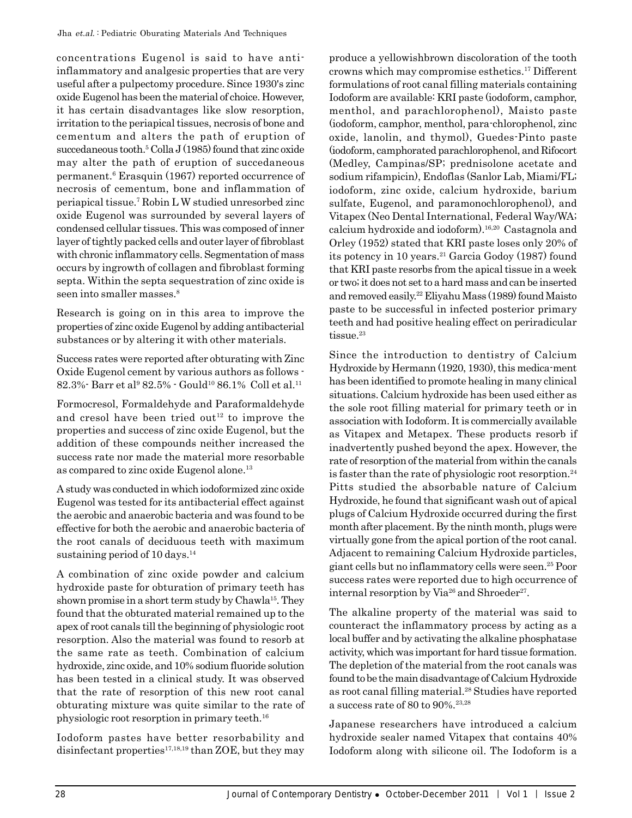concentrations Eugenol is said to have antiinflammatory and analgesic properties that are very useful after a pulpectomy procedure. Since 1930's zinc oxide Eugenol has been the material of choice. However, it has certain disadvantages like slow resorption, irritation to the periapical tissues, necrosis of bone and cementum and alters the path of eruption of succedaneous tooth.5 Colla J (1985) found that zinc oxide may alter the path of eruption of succedaneous permanent.6 Erasquin (1967) reported occurrence of necrosis of cementum, bone and inflammation of periapical tissue.7 Robin L W studied unresorbed zinc oxide Eugenol was surrounded by several layers of condensed cellular tissues. This was composed of inner layer of tightly packed cells and outer layer of fibroblast with chronic inflammatory cells. Segmentation of mass occurs by ingrowth of collagen and fibroblast forming septa. Within the septa sequestration of zinc oxide is seen into smaller masses.<sup>8</sup>

Research is going on in this area to improve the properties of zinc oxide Eugenol by adding antibacterial substances or by altering it with other materials.

Success rates were reported after obturating with Zinc Oxide Eugenol cement by various authors as follows -  $82.3\%$ -  $\mathrm{Barr}$  et al $^9$   $82.5\%$  -  $\mathrm{Gould^{10}}$   $86.1\%$   $\mathrm{Coll}$  et al. $^{11}$ 

Formocresol, Formaldehyde and Paraformaldehyde and cresol have been tried out<sup>12</sup> to improve the properties and success of zinc oxide Eugenol, but the addition of these compounds neither increased the success rate nor made the material more resorbable as compared to zinc oxide Eugenol alone.13

A study was conducted in which iodoformized zinc oxide Eugenol was tested for its antibacterial effect against the aerobic and anaerobic bacteria and was found to be effective for both the aerobic and anaerobic bacteria of the root canals of deciduous teeth with maximum sustaining period of 10 days.<sup>14</sup>

A combination of zinc oxide powder and calcium hydroxide paste for obturation of primary teeth has shown promise in a short term study by Chawla<sup>15</sup>. They found that the obturated material remained up to the apex of root canals till the beginning of physiologic root resorption. Also the material was found to resorb at the same rate as teeth. Combination of calcium hydroxide, zinc oxide, and 10% sodium fluoride solution has been tested in a clinical study. It was observed that the rate of resorption of this new root canal obturating mixture was quite similar to the rate of physiologic root resorption in primary teeth.16

Iodoform pastes have better resorbability and disinfectant properties $17,18,19$  than ZOE, but they may

produce a yellowishbrown discoloration of the tooth crowns which may compromise esthetics.17 Different formulations of root canal filling materials containing Iodoform are available: KRI paste (iodoform, camphor, menthol, and parachlorophenol), Maisto paste (iodoform, camphor, menthol, para-chlorophenol, zinc oxide, lanolin, and thymol), Guedes-Pinto paste (iodoform, camphorated parachlorophenol, and Rifocort (Medley, Campinas/SP; prednisolone acetate and sodium rifampicin), Endoflas (Sanlor Lab, Miami/FL; iodoform, zinc oxide, calcium hydroxide, barium sulfate, Eugenol, and paramonochlorophenol), and Vitapex (Neo Dental International, Federal Way/WA; calcium hydroxide and iodoform).16,20 Castagnola and Orley (1952) stated that KRI paste loses only 20% of its potency in 10 years.<sup>21</sup> Garcia Godoy  $(1987)$  found that KRI paste resorbs from the apical tissue in a week or two; it does not set to a hard mass and can be inserted and removed easily.22 Eliyahu Mass (1989) found Maisto paste to be successful in infected posterior primary teeth and had positive healing effect on periradicular tissue.<sup>23</sup>

Since the introduction to dentistry of Calcium Hydroxide by Hermann (1920, 1930), this medica-ment has been identified to promote healing in many clinical situations. Calcium hydroxide has been used either as the sole root filling material for primary teeth or in association with Iodoform. It is commercially available as Vitapex and Metapex. These products resorb if inadvertently pushed beyond the apex. However, the rate of resorption of the material from within the canals is faster than the rate of physiologic root resorption.<sup>24</sup> Pitts studied the absorbable nature of Calcium Hydroxide, he found that significant wash out of apical plugs of Calcium Hydroxide occurred during the first month after placement. By the ninth month, plugs were virtually gone from the apical portion of the root canal. Adjacent to remaining Calcium Hydroxide particles, giant cells but no inflammatory cells were seen.25 Poor success rates were reported due to high occurrence of internal resorption by Via<sup>26</sup> and Shroeder<sup>27</sup>.

The alkaline property of the material was said to counteract the inflammatory process by acting as a local buffer and by activating the alkaline phosphatase activity, which was important for hard tissue formation. The depletion of the material from the root canals was found to be the main disadvantage of Calcium Hydroxide as root canal filling material.28 Studies have reported a success rate of 80 to 90%.23,28

Japanese researchers have introduced a calcium hydroxide sealer named Vitapex that contains 40% Iodoform along with silicone oil. The Iodoform is a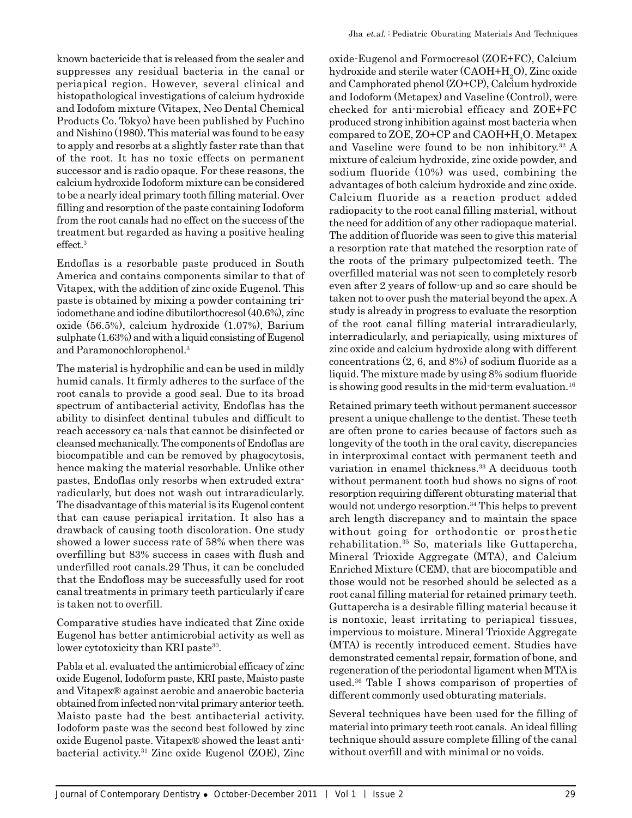known bactericide that is released from the sealer and suppresses any residual bacteria in the canal or periapical region. However, several clinical and histopathological investigations of calcium hydroxide and Iodofom mixture (Vitapex, Neo Dental Chemical Products Co. Tokyo) have been published by Fuchino and Nishino (1980). This material was found to be easy to apply and resorbs at a slightly faster rate than that of the root. It has no toxic effects on permanent successor and is radio opaque. For these reasons, the calcium hydroxide Iodoform mixture can be considered to be a nearly ideal primary tooth filling material. Over filling and resorption of the paste containing Iodoform from the root canals had no effect on the success of the treatment but regarded as having a positive healing effect.<sup>3</sup>

Endoflas is a resorbable paste produced in South America and contains components similar to that of Vitapex, with the addition of zinc oxide Eugenol. This paste is obtained by mixing a powder containing triiodomethane and iodine dibutilorthocresol (40.6%), zinc oxide (56.5%), calcium hydroxide (1.07%), Barium sulphate (1.63%) and with a liquid consisting of Eugenol and Paramonochlorophenol.3

The material is hydrophilic and can be used in mildly humid canals. It firmly adheres to the surface of the root canals to provide a good seal. Due to its broad spectrum of antibacterial activity, Endoflas has the ability to disinfect dentinal tubules and difficult to reach accessory ca-nals that cannot be disinfected or cleansed mechanically. The components of Endoflas are biocompatible and can be removed by phagocytosis, hence making the material resorbable. Unlike other pastes, Endoflas only resorbs when extruded extraradicularly, but does not wash out intraradicularly. The disadvantage of this material is its Eugenol content that can cause periapical irritation. It also has a drawback of causing tooth discoloration. One study showed a lower success rate of 58% when there was overfilling but 83% success in cases with flush and underfilled root canals.29 Thus, it can be concluded that the Endofloss may be successfully used for root canal treatments in primary teeth particularly if care is taken not to overfill.

Comparative studies have indicated that Zinc oxide Eugenol has better antimicrobial activity as well as lower cytotoxicity than KRI paste<sup>30</sup>.

Pabla et al. evaluated the antimicrobial efficacy of zinc oxide Eugenol, Iodoform paste, KRI paste, Maisto paste and Vitapex® against aerobic and anaerobic bacteria obtained from infected non-vital primary anterior teeth. Maisto paste had the best antibacterial activity. Iodoform paste was the second best followed by zinc oxide Eugenol paste. Vitapex® showed the least antibacterial activity.31 Zinc oxide Eugenol (ZOE), Zinc

oxide-Eugenol and Formocresol (ZOE+FC), Calcium hydroxide and sterile water (CAOH+H<sub>2</sub>O), Zinc oxide and Camphorated phenol (ZO+CP), Calcium hydroxide and Iodoform (Metapex) and Vaseline (Control), were checked for anti-microbial efficacy and ZOE+FC produced strong inhibition against most bacteria when compared to ZOE, ZO+CP and CAOH+H<sub>2</sub>O. Metapex and Vaseline were found to be non inhibitory.32 A mixture of calcium hydroxide, zinc oxide powder, and sodium fluoride (10%) was used, combining the advantages of both calcium hydroxide and zinc oxide. Calcium fluoride as a reaction product added radiopacity to the root canal filling material, without the need for addition of any other radiopaque material. The addition of fluoride was seen to give this material a resorption rate that matched the resorption rate of the roots of the primary pulpectomized teeth. The overfilled material was not seen to completely resorb even after 2 years of follow-up and so care should be taken not to over push the material beyond the apex. A study is already in progress to evaluate the resorption of the root canal filling material intraradicularly, interradicularly, and periapically, using mixtures of zinc oxide and calcium hydroxide along with different concentrations (2, 6, and 8%) of sodium fluoride as a liquid. The mixture made by using 8% sodium fluoride is showing good results in the mid-term evaluation.<sup>16</sup>

Retained primary teeth without permanent successor present a unique challenge to the dentist. These teeth are often prone to caries because of factors such as longevity of the tooth in the oral cavity, discrepancies in interproximal contact with permanent teeth and variation in enamel thickness.33 A deciduous tooth without permanent tooth bud shows no signs of root resorption requiring different obturating material that would not undergo resorption.<sup>34</sup> This helps to prevent arch length discrepancy and to maintain the space without going for orthodontic or prosthetic rehabilitation.35 So, materials like Guttapercha, Mineral Trioxide Aggregate (MTA), and Calcium Enriched Mixture (CEM), that are biocompatible and those would not be resorbed should be selected as a root canal filling material for retained primary teeth. Guttapercha is a desirable filling material because it is nontoxic, least irritating to periapical tissues, impervious to moisture. Mineral Trioxide Aggregate (MTA) is recently introduced cement. Studies have demonstrated cemental repair, formation of bone, and regeneration of the periodontal ligament when MTA is used.36 Table I shows comparison of properties of different commonly used obturating materials.

Several techniques have been used for the filling of material into primary teeth root canals. An ideal filling technique should assure complete filling of the canal without overfill and with minimal or no voids.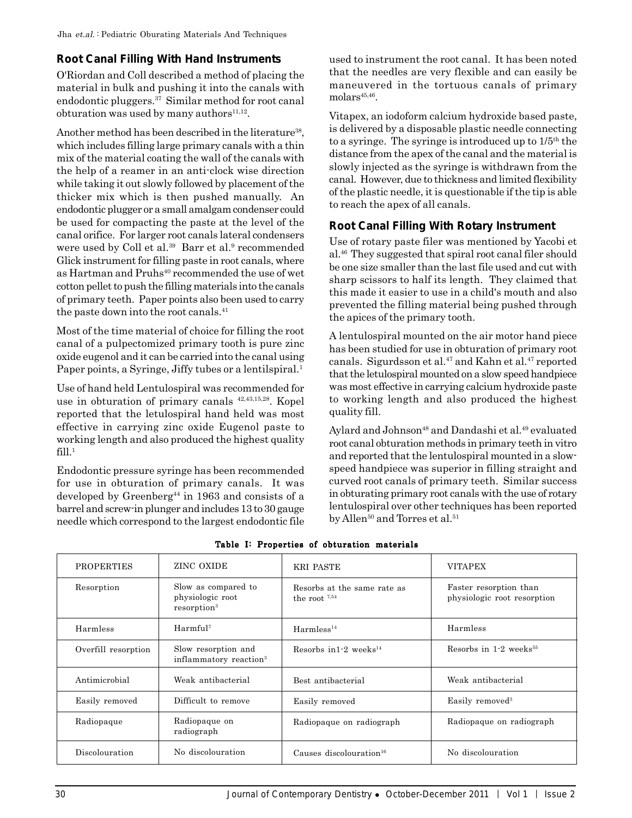# **Root Canal Filling With Hand Instruments**

O'Riordan and Coll described a method of placing the material in bulk and pushing it into the canals with endodontic pluggers.37 Similar method for root canal obturation was used by many authors $11,12$ .

Another method has been described in the literature<sup>38</sup>, which includes filling large primary canals with a thin mix of the material coating the wall of the canals with the help of a reamer in an anti-clock wise direction while taking it out slowly followed by placement of the thicker mix which is then pushed manually. An endodontic plugger or a small amalgam condenser could be used for compacting the paste at the level of the canal orifice. For larger root canals lateral condensers were used by Coll et al.<sup>39</sup> Barr et al.<sup>9</sup> recommended Glick instrument for filling paste in root canals, where as Hartman and Pruhs<sup>40</sup> recommended the use of wet cotton pellet to push the filling materials into the canals of primary teeth. Paper points also been used to carry the paste down into the root canals.<sup>41</sup>

Most of the time material of choice for filling the root canal of a pulpectomized primary tooth is pure zinc oxide eugenol and it can be carried into the canal using Paper points, a Syringe, Jiffy tubes or a lentilspiral.<sup>1</sup>

Use of hand held Lentulospiral was recommended for use in obturation of primary canals 42,43,15,28. Kopel reported that the letulospiral hand held was most effective in carrying zinc oxide Eugenol paste to working length and also produced the highest quality  $fill.^1$ 

Endodontic pressure syringe has been recommended for use in obturation of primary canals. It was developed by Greenberg<sup>44</sup> in 1963 and consists of a barrel and screw-in plunger and includes 13 to 30 gauge needle which correspond to the largest endodontic file

used to instrument the root canal. It has been noted that the needles are very flexible and can easily be maneuvered in the tortuous canals of primary molars<sup>45,46</sup>.

Vitapex, an iodoform calcium hydroxide based paste, is delivered by a disposable plastic needle connecting to a syringe. The syringe is introduced up to  $1/5<sup>th</sup>$  the distance from the apex of the canal and the material is slowly injected as the syringe is withdrawn from the canal. However, due to thickness and limited flexibility of the plastic needle, it is questionable if the tip is able to reach the apex of all canals.

# **Root Canal Filling With Rotary Instrument**

Use of rotary paste filer was mentioned by Yacobi et al.46 They suggested that spiral root canal filer should be one size smaller than the last file used and cut with sharp scissors to half its length. They claimed that this made it easier to use in a child's mouth and also prevented the filling material being pushed through the apices of the primary tooth.

A lentulospiral mounted on the air motor hand piece has been studied for use in obturation of primary root canals. Sigurdsson et al.<sup>47</sup> and Kahn et al.<sup>47</sup> reported that the letulospiral mounted on a slow speed handpiece was most effective in carrying calcium hydroxide paste to working length and also produced the highest quality fill.

Aylard and Johnson<sup>48</sup> and Dandashi et al.<sup>49</sup> evaluated root canal obturation methods in primary teeth in vitro and reported that the lentulospiral mounted in a slowspeed handpiece was superior in filling straight and curved root canals of primary teeth. Similar success in obturating primary root canals with the use of rotary lentulospiral over other techniques has been reported by Allen<sup>50</sup> and Torres et al.<sup>51</sup>

| <b>PROPERTIES</b>   | ZINC OXIDE                                                         | KRI PASTE                                      | <b>VITAPEX</b>                                        |
|---------------------|--------------------------------------------------------------------|------------------------------------------------|-------------------------------------------------------|
| Resorption          | Slow as compared to<br>physiologic root<br>resorption <sup>3</sup> | Resorbs at the same rate as<br>the root $7.54$ | Faster resorption than<br>physiologic root resorption |
| Harmless            | Harmful <sup>7</sup>                                               | Harmless <sup>14</sup>                         | Harmless                                              |
| Overfill resorption | Slow resorption and<br>inflammatory reaction <sup>3</sup>          | Resorbs in $1-2$ weeks <sup>14</sup>           | Resorbs in $1-2$ weeks <sup>55</sup>                  |
| Antimicrobial       | Weak antibacterial                                                 | Best antibacterial                             | Weak antibacterial                                    |
| Easily removed      | Difficult to remove                                                | Easily removed                                 | Easily removed <sup>3</sup>                           |
| Radiopaque          | Radiopaque on<br>radiograph                                        | Radiopaque on radiograph                       | Radiopaque on radiograph                              |
| Discolouration      | No discolouration                                                  | Causes discolouration <sup>16</sup>            | No discolouration                                     |

Table I: Properties of obturation materials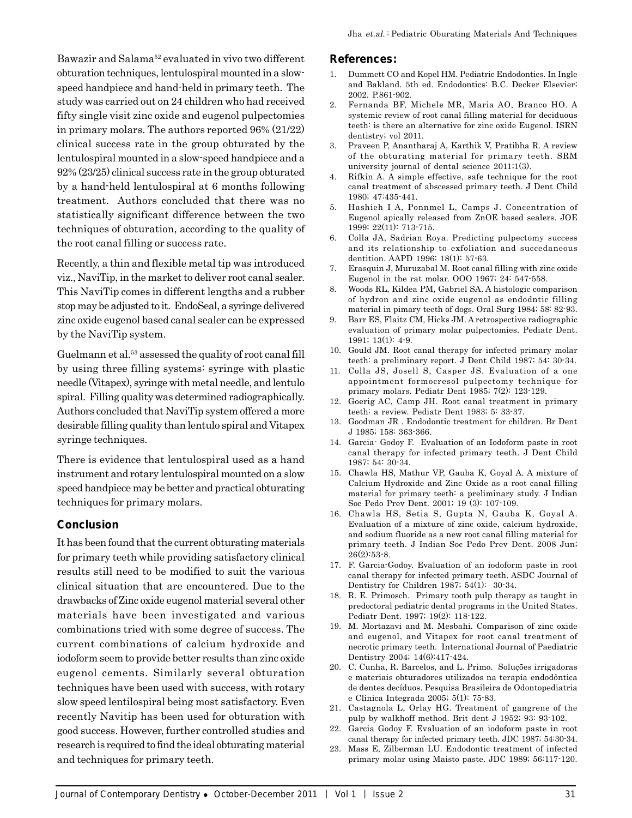Bawazir and Salama52 evaluated in vivo two different obturation techniques, lentulospiral mounted in a slowspeed handpiece and hand-held in primary teeth. The study was carried out on 24 children who had received fifty single visit zinc oxide and eugenol pulpectomies in primary molars. The authors reported 96% (21/22) clinical success rate in the group obturated by the lentulospiral mounted in a slow-speed handpiece and a 92% (23/25) clinical success rate in the group obturated by a hand-held lentulospiral at 6 months following treatment. Authors concluded that there was no statistically significant difference between the two techniques of obturation, according to the quality of the root canal filling or success rate.

Recently, a thin and flexible metal tip was introduced viz., NaviTip, in the market to deliver root canal sealer. This NaviTip comes in different lengths and a rubber stop may be adjusted to it. EndoSeal, a syringe delivered zinc oxide eugenol based canal sealer can be expressed by the NaviTip system.

Guelmann et al.<sup>53</sup> assessed the quality of root canal fill by using three filling systems: syringe with plastic needle (Vitapex), syringe with metal needle, and lentulo spiral. Filling quality was determined radiographically. Authors concluded that NaviTip system offered a more desirable filling quality than lentulo spiral and Vitapex syringe techniques.

There is evidence that lentulospiral used as a hand instrument and rotary lentulospiral mounted on a slow speed handpiece may be better and practical obturating techniques for primary molars.

## **Conclusion**

It has been found that the current obturating materials for primary teeth while providing satisfactory clinical results still need to be modified to suit the various clinical situation that are encountered. Due to the drawbacks of Zinc oxide eugenol material several other materials have been investigated and various combinations tried with some degree of success. The current combinations of calcium hydroxide and iodoform seem to provide better results than zinc oxide eugenol cements. Similarly several obturation techniques have been used with success, with rotary slow speed lentilospiral being most satisfactory. Even recently Navitip has been used for obturation with good success. However, further controlled studies and research is required to find the ideal obturating material and techniques for primary teeth.

#### **References:**

- 1. Dummett CO and Kopel HM. Pediatric Endodontics. In Ingle and Bakland. 5th ed. Endodontics: B.C. Decker Elsevier; 2002. P.861-902.
- 2. Fernanda BF, Michele MR, Maria AO, Branco HO. A systemic review of root canal filling material for deciduous teeth: is there an alternative for zinc oxide Eugenol. ISRN dentistry; vol 2011.
- 3. Praveen P, Anantharaj A, Karthik V, Pratibha R. A review of the obturating material for primary teeth. SRM university journal of dental science 2011;1(3).
- 4. Rifkin A. A simple effective, safe technique for the root canal treatment of abscessed primary teeth. J Dent Child 1980; 47:435-441.
- 5. Hashieh I A, Ponnmel L, Camps J. Concentration of Eugenol apically released from ZnOE based sealers. JOE 1999; 22(11): 713-715.
- 6. Colla JA, Sadrian Roya. Predicting pulpectomy success and its relationship to exfoliation and succedaneous dentition. AAPD 1996; 18(1): 57-63.
- 7. Erasquin J, Muruzabal M. Root canal filling with zinc oxide Eugenol in the rat molar. OOO 1967; 24: 547-558.
- 8. Woods RL, Kildea PM, Gabriel SA. A histologic comparison of hydron and zinc oxide eugenol as endodntic filling material in pimary teeth of dogs. Oral Surg 1984; 58: 82-93.
- 9. Barr ES, Flaitz CM, Hicks JM. A retrospective radiographic evaluation of primary molar pulpectomies. Pediatr Dent. 1991; 13(1): 4-9.
- 10. Gould JM. Root canal therapy for infected primary molar teeth: a preliminary report. J Dent Child 1987; 54: 30-34.
- 11. Colla JS, Josell S, Casper JS. Evaluation of a one appointment formocresol pulpectomy technique for primary molars. Pediatr Dent 1985; 7(2): 123-129.
- 12. Goerig AC, Camp JH. Root canal treatment in primary teeth: a review. Pediatr Dent 1983; 5: 33-37.
- 13. Goodman JR . Endodontic treatment for children. Br Dent J 1985; 158: 363-366.
- 14. Garcia- Godoy F. Evaluation of an Iodoform paste in root canal therapy for infected primary teeth. J Dent Child 1987; 54: 30-34.
- 15. Chawla HS, Mathur VP, Gauba K, Goyal A. A mixture of Calcium Hydroxide and Zinc Oxide as a root canal filling material for primary teeth: a preliminary study. J Indian Soc Pedo Prev Dent. 2001; 19 (3): 107-109.
- 16. Chawla HS, Setia S, Gupta N, Gauba K, Goyal A. Evaluation of a mixture of zinc oxide, calcium hydroxide, and sodium fluoride as a new root canal filling material for primary teeth. J Indian Soc Pedo Prev Dent. 2008 Jun;  $26(2):53-8$
- 17. F. Garcia-Godoy. Evaluation of an iodoform paste in root canal therapy for infected primary teeth. ASDC Journal of Dentistry for Children 1987; 54(1): 30-34.
- 18. R. E. Primosch. Primary tooth pulp therapy as taught in predoctoral pediatric dental programs in the United States. Pediatr Dent. 1997; 19(2): 118-122.
- 19. M. Mortazavi and M. Mesbahi. Comparison of zinc oxide and eugenol, and Vitapex for root canal treatment of necrotic primary teeth. International Journal of Paediatric Dentistry 2004; 14(6):417-424.
- 20. C. Cunha, R. Barcelos, and L. Primo. Soluções irrigadoras e materiais obturadores utilizados na terapia endodôntica de dentes decíduos. Pesquisa Brasileira de Odontopediatria e Clínica Integrada 2005; 5(1): 75-83.
- 21. Castagnola L, Orlay HG. Treatment of gangrene of the pulp by walkhoff method. Brit dent J 1952; 93: 93-102.
- 22. Garcia Godoy F. Evaluation of an iodoform paste in root canal therapy for infected primary teeth. JDC 1987; 54:30-34.
- 23. Mass E, Zilberman LU. Endodontic treatment of infected primary molar using Maisto paste. JDC 1989; 56:117-120.